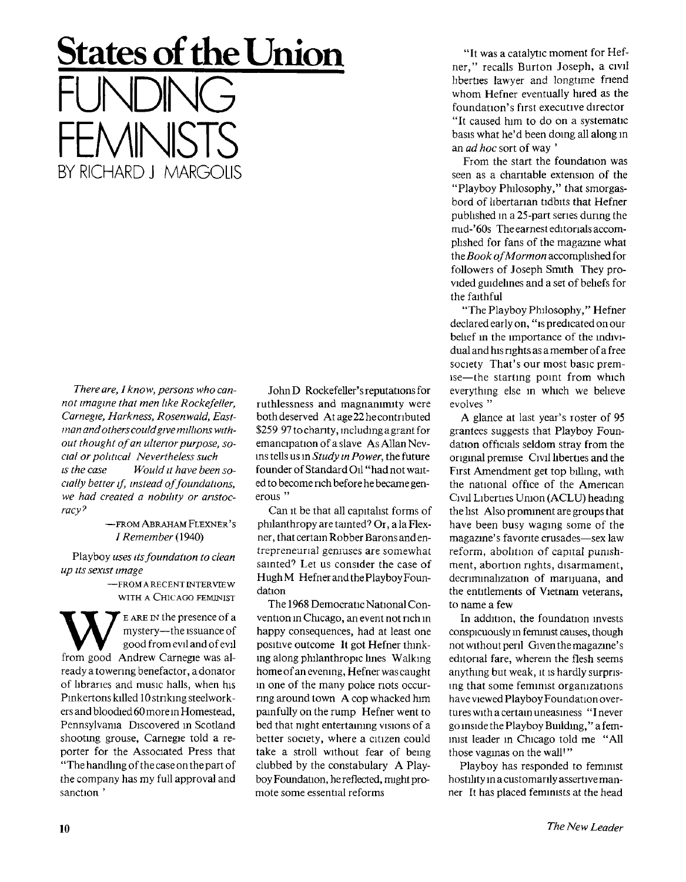## **States of the Union**  FUNDING FEMINISTS BY RICHARD J MARGOUS

*Thereare, I know, persons who cannot imagine that men like Rockefeller, Carnegie, Harkness, Rosenwald, Eastman and others could give millions without thought of an ulterior purpose, social or political Nevertheless such is the case Would it have been socially better if instead of foundations, we had created a nobility or aristocracy 7* 

> —FROM ABRAHAM FLEXNER'S */ Remember* (1940)

Playboy *uses its foundation to clean up its sexist image* 

> —FROM A RECENT INTERVIEW WITH A CHICAGO FEMINIST

Example the presence of a<br>
mystery—the issuance of<br>
from good Andrew Carnegie was almystery—the issuance of good from evil and of evil ready a towering benefactor, a donator of libraries and music halls, when his Pinkertons killed 10 striking steelworkers and bloodied 60 more in Homestead, Pennsylvania Discovered in Scotland shooting grouse, Carnegie told a reporter for the Associated Press that "The handling of the case on the part of the company has my full approval and sanction '

JohnD Rockefeller's reputations for ruthlessness and magnanimity were both deserved At age 22 he contributed \$259 97 to charity, including a grant for emancipation of a slave As Allan Nevms tells us in *Study in Power,* the future founder of Standard Oil "had not waited to become rich before he became generous "

Can it be that all capitalist forms of philanthropy are tainted<sup>7</sup> Or, a la Flexner, that certain Robber Barons and entrepreneurial geniuses are somewhat sainted? Let us consider the case of HughM Hefner and the Playboy Foundation

The 1968 Democratic National Convention in Chicago, an event not rich in happy consequences, had at least one positive outcome It got Hefner thinking along philanthropic lines Walking home of an evening, Hefner was caught in one of the many police riots occurring around town A cop whacked him painfully on the rump Hefner went to bed that night entertaining visions of a better society, where a citizen could take a stroll without fear of being clubbed by the constabulary A Playboy Foundation, he reflected, might promote some essential reforms

"It was a catalytic moment for Hefner," recalls Burton Joseph, a civil liberties lawyer and longtime friend whom Hefner eventually hired as the foundation's first executive director "It caused him to do on a systematic basis what he'd been doing all along in an *ad hoc* sort of way '

From the start the foundation was seen as a charitable extension of the "Playboy Philosophy," that smorgasbord of libertarian tidbits that Hefner published in a 25-part series during the mid-'60s The earnest editorials accomplished for fans of the magazine what the *Book ofMormon* accomplished for followers of Joseph Smith They provided guidelines and a set of beliefs for the faithful

"The Playboy Philosophy," Hefner declared early on, "is predicated on our belief in the importance of the individual and his rights as a member of a free society That's our most basic premise—the starting point from which everything else in which we believe evolves "

A glance at last year's roster of 95 grantees suggests that Playboy Foundation officials seldom stray from the original premise Civil liberties and the First Amendment get top billing, with the national office of the American Civil Liberties Union (ACLU) heading the list Also prominent are groups that have been busy waging some of the magazine's favorite crusades—sex law reform, abolition of capital punishment, abortion rights, disarmament, decriminalization of marijuana, and the entitlements of Vietnam veterans, to name a few

In addition, the foundation invests conspicuously in feminist causes, though not without peril Given the magazine's editorial fare, wherein the flesh seems anything but weak, it is hardly surprising that some feminist organizations have viewed Playboy Foundation overtures with a certain uneasiness " I never go inside the Playboy Building," a feminist leader in Chicago told me "All those vaginas on the wall'"

Playboy has responded to feminist hostility in a customarily assertive manner It has placed feminists at the head